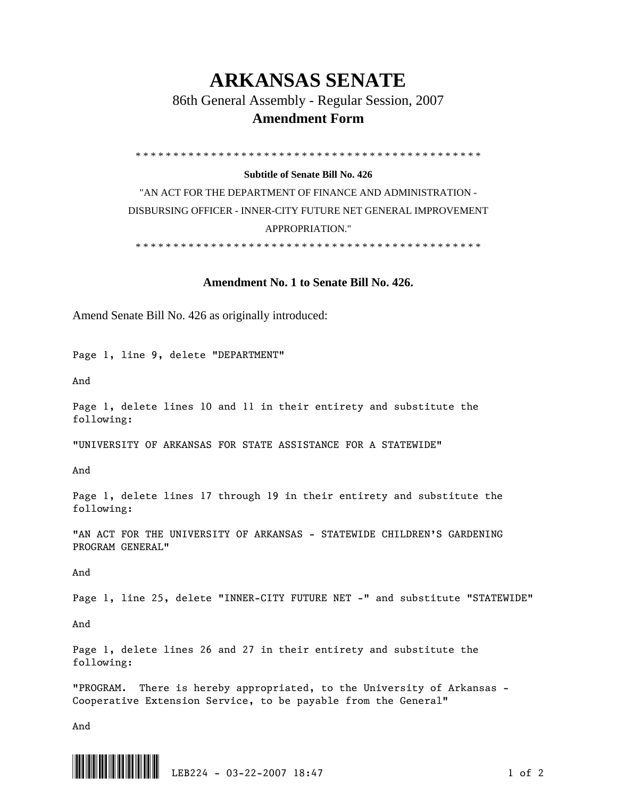## **ARKANSAS SENATE**

86th General Assembly - Regular Session, 2007

## **Amendment Form**

\* \* \* \* \* \* \* \* \* \* \* \* \* \* \* \* \* \* \* \* \* \* \* \* \* \* \* \* \* \* \* \* \* \* \* \* \* \* \* \* \* \* \* \* \* \*

## **Subtitle of Senate Bill No. 426**

"AN ACT FOR THE DEPARTMENT OF FINANCE AND ADMINISTRATION - DISBURSING OFFICER - INNER-CITY FUTURE NET GENERAL IMPROVEMENT APPROPRIATION."

\* \* \* \* \* \* \* \* \* \* \* \* \* \* \* \* \* \* \* \* \* \* \* \* \* \* \* \* \* \* \* \* \* \* \* \* \* \* \* \* \* \* \* \* \* \*

## **Amendment No. 1 to Senate Bill No. 426.**

Amend Senate Bill No. 426 as originally introduced:

Page 1, line 9, delete "DEPARTMENT"

And

Page 1, delete lines 10 and 11 in their entirety and substitute the following:

"UNIVERSITY OF ARKANSAS FOR STATE ASSISTANCE FOR A STATEWIDE"

And

Page 1, delete lines 17 through 19 in their entirety and substitute the following:

"AN ACT FOR THE UNIVERSITY OF ARKANSAS - STATEWIDE CHILDREN'S GARDENING PROGRAM GENERAL"

And

Page 1, line 25, delete "INNER-CITY FUTURE NET -" and substitute "STATEWIDE"

And

Page 1, delete lines 26 and 27 in their entirety and substitute the following:

"PROGRAM. There is hereby appropriated, to the University of Arkansas - Cooperative Extension Service, to be payable from the General"

And